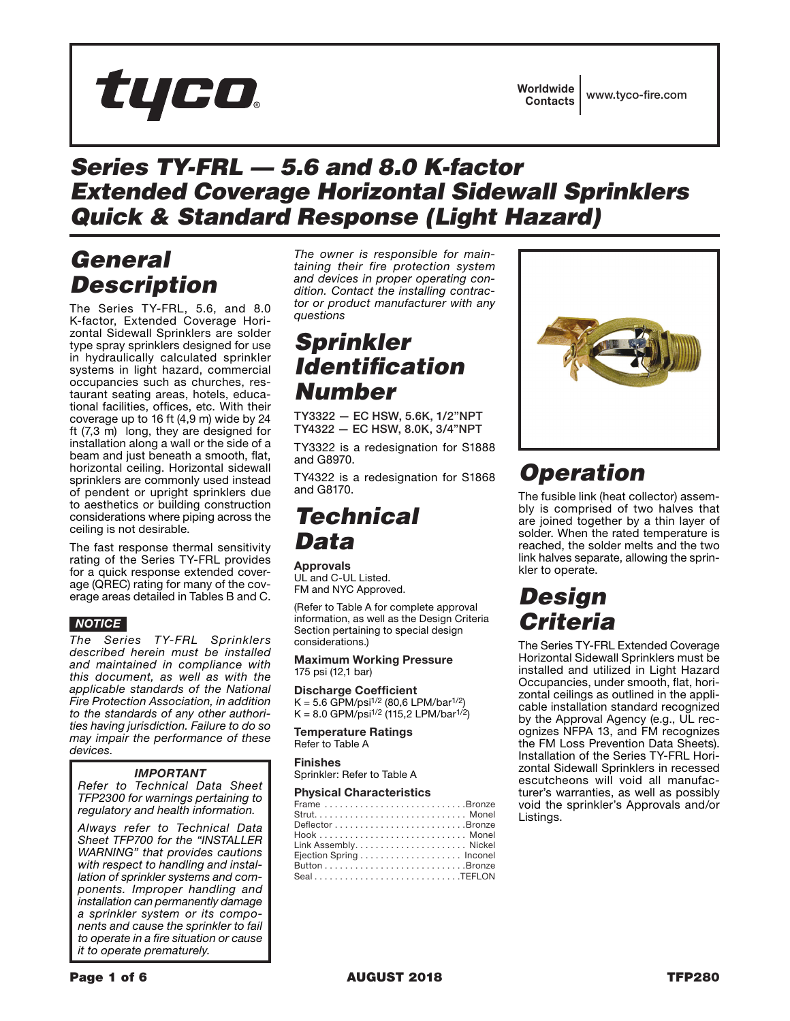# tyco.

## *Series TY-FRL — 5.6 and 8.0 K-factor Extended Coverage Horizontal Sidewall Sprinklers Quick & Standard Response (Light Hazard)*

# *General Description*

The Series TY-FRL, 5.6, and 8.0 K-factor, Extended Coverage Horizontal Sidewall Sprinklers are solder type spray sprinklers designed for use in hydraulically calculated sprinkler systems in light hazard, commercial occupancies such as churches, restaurant seating areas, hotels, educational facilities, offices, etc. With their coverage up to 16 ft (4,9 m) wide by 24 ft (7,3 m) long, they are designed for installation along a wall or the side of a beam and just beneath a smooth, flat, horizontal ceiling. Horizontal sidewall sprinklers are commonly used instead of pendent or upright sprinklers due to aesthetics or building construction considerations where piping across the ceiling is not desirable.

The fast response thermal sensitivity rating of the Series TY-FRL provides for a quick response extended coverage (QREC) rating for many of the coverage areas detailed in Tables B and C.

### *NOTICE*

*The Series TY-FRL Sprinklers described herein must be installed and maintained in compliance with this document, as well as with the applicable standards of the National Fire Protection Association, in addition to the standards of any other authorities having jurisdiction. Failure to do so may impair the performance of these devices.*

### *IMPORTANT*

*Refer to Technical Data Sheet TFP2300 for warnings pertaining to regulatory and health information.*

*Always refer to Technical Data Sheet TFP700 for the "INSTALLER WARNING" that provides cautions with respect to handling and installation of sprinkler systems and components. Improper handling and installation can permanently damage a sprinkler system or its components and cause the sprinkler to fail to operate in a fire situation or cause it to operate prematurely.*

*The owner is responsible for maintaining their fire protection system and devices in proper operating condition. Contact the installing contractor or product manufacturer with any questions*

## *Sprinkler Identification Number*

TY3322 — EC HSW, 5.6K, 1/2"NPT TY4322 — EC HSW, 8.0K, 3/4"NPT

TY3322 is a redesignation for S1888 and G8970.

TY4322 is a redesignation for S1868 and G8170.

### *Technical Data*

Approvals UL and C-UL Listed. FM and NYC Approved.

(Refer to Table A for complete approval information, as well as the Design Criteria Section pertaining to special design considerations.)

#### Maximum Working Pressure 175 psi (12,1 bar)

Discharge Coefficient  $K = 5.6$  GPM/psi<sup>1/2</sup> (80,6 LPM/bar<sup>1/2</sup>)

 $K = 8.0$  GPM/psi<sup>1/2</sup> (115,2 LPM/bar<sup>1/2</sup>)

Temperature Ratings Refer to Table A

Finishes

Sprinkler: Refer to Table A

#### Physical Characteristics

| Frame Bronze  |  |
|---------------|--|
|               |  |
|               |  |
|               |  |
|               |  |
|               |  |
|               |  |
| $Seal$ TEFLON |  |



# *Operation*

The fusible link (heat collector) assembly is comprised of two halves that are joined together by a thin layer of solder. When the rated temperature is reached, the solder melts and the two link halves separate, allowing the sprinkler to operate.

# *Design Criteria*

The Series TY-FRL Extended Coverage Horizontal Sidewall Sprinklers must be installed and utilized in Light Hazard Occupancies, under smooth, flat, horizontal ceilings as outlined in the applicable installation standard recognized by the Approval Agency (e.g., UL recognizes NFPA 13, and FM recognizes the FM Loss Prevention Data Sheets). Installation of the Series TY-FRL Horizontal Sidewall Sprinklers in recessed escutcheons will void all manufacturer's warranties, as well as possibly void the sprinkler's Approvals and/or Listings.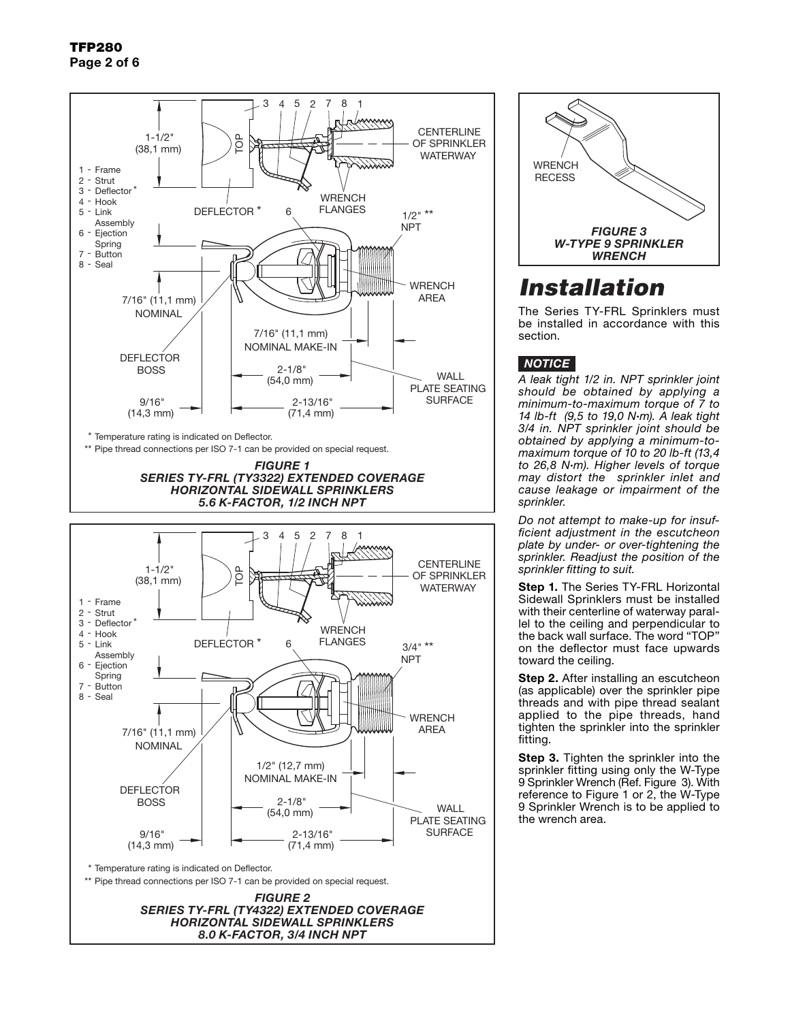

**RECESS WRENCH** *FIGURE 3 W-TYPE 9 SPRINKLER WRENCH*

# *Installation*

The Series TY-FRL Sprinklers must be installed in accordance with this section.

### *NOTICE*

*A leak tight 1/2 in. NPT sprinkler joint should be obtained by applying a minimum-to-maximum torque of 7 to 14 lb-ft (9,5 to 19,0 N*·*m). A leak tight 3/4 in. NPT sprinkler joint should be obtained by applying a minimum-tomaximum torque of 10 to 20 lb-ft (13,4 to 26,8 N*·*m). Higher levels of torque may distort the sprinkler inlet and cause leakage or impairment of the sprinkler.*

*Do not attempt to make-up for insufficient adjustment in the escutcheon plate by under- or over-tightening the sprinkler. Readjust the position of the sprinkler fitting to suit.*

Step 1. The Series TY-FRL Horizontal Sidewall Sprinklers must be installed with their centerline of waterway parallel to the ceiling and perpendicular to the back wall surface. The word "TOP" on the deflector must face upwards toward the ceiling.

Step 2. After installing an escutcheon (as applicable) over the sprinkler pipe threads and with pipe thread sealant applied to the pipe threads, hand tighten the sprinkler into the sprinkler fitting.

**Step 3.** Tighten the sprinkler into the sprinkler fitting using only the W-Type 9 Sprinkler Wrench (Ref. Figure 3). With reference to Figure 1 or 2, the W-Type 9 Sprinkler Wrench is to be applied to the wrench area.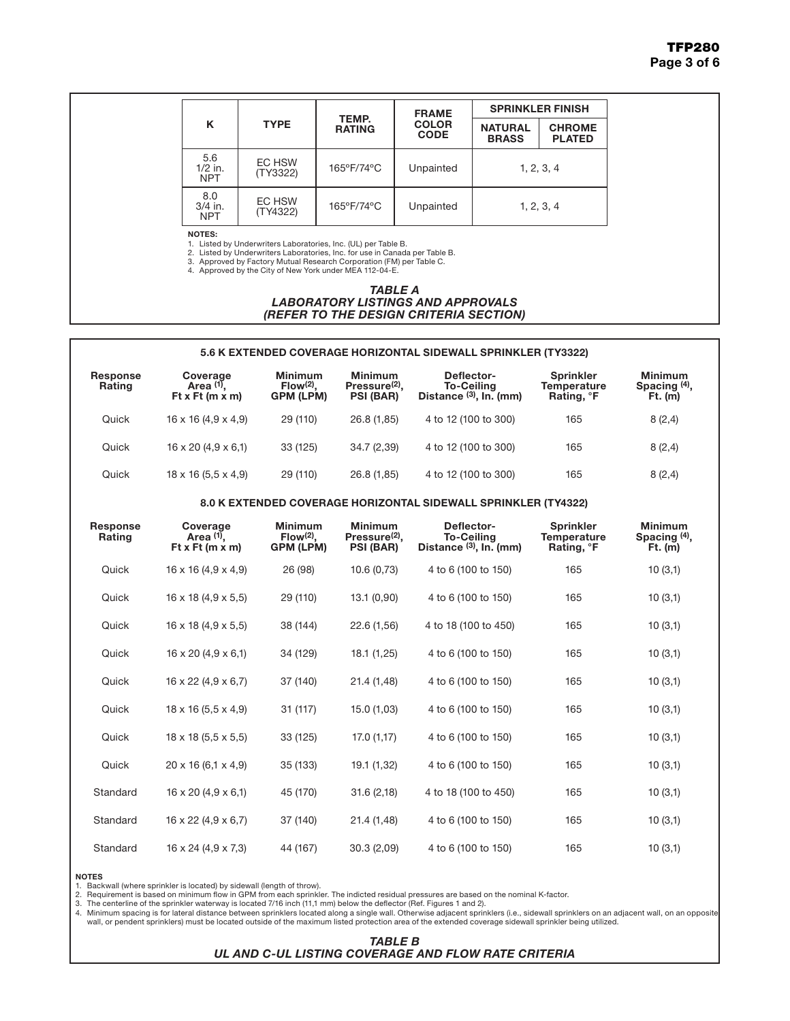|                                |                    |                        | <b>FRAME</b>                | <b>SPRINKLER FINISH</b>        |                                |  |
|--------------------------------|--------------------|------------------------|-----------------------------|--------------------------------|--------------------------------|--|
| ĸ                              | <b>TYPE</b>        | TEMP.<br><b>RATING</b> | <b>COLOR</b><br><b>CODE</b> | <b>NATURAL</b><br><b>BRASS</b> | <b>CHROME</b><br><b>PLATED</b> |  |
| 5.6<br>$1/2$ in.<br><b>NPT</b> | EC HSW<br>(TY3322) | 165°F/74°C             | Unpainted                   | 1, 2, 3, 4                     |                                |  |
| 8.0<br>$3/4$ in.<br><b>NPT</b> | EC HSW<br>(TY4322) | 165°F/74°C             | Unpainted                   | 1, 2, 3, 4                     |                                |  |

NOTES:

1. Listed by Underwriters Laboratories, Inc. (UL) per Table B. 2. Listed by Underwriters Laboratories, Inc. for use in Canada per Table B.

3. Approved by Factory Mutual Research Corporation (FM) per Table C. 4. Approved by the City of New York under MEA 112-04-E.

*TABLE A LABORATORY LISTINGS AND APPROVALS*

### *(REFER TO THE DESIGN CRITERIA SECTION)*

#### 5.6 K EXTENDED COVERAGE HORIZONTAL SIDEWALL SPRINKLER (TY3322)

| Response<br>Rating | Coverage<br>Area $(1)$ .<br>Ft x Ft $(m x m)$ | <b>Minimum</b><br>$Flow(2)$ .<br><b>GPM (LPM)</b> | <b>Minimum</b><br>Pressure <sup>(2)</sup> ,<br><b>PSI (BAR)</b> | Deflector-<br><b>To-Ceiling</b><br>Distance $(3)$ , In. (mm) | <b>Sprinkler</b><br><b>Temperature</b><br>Rating, <sup>o</sup> F | <b>Minimum</b><br>Spacing (4),<br>$Ft.$ (m) |
|--------------------|-----------------------------------------------|---------------------------------------------------|-----------------------------------------------------------------|--------------------------------------------------------------|------------------------------------------------------------------|---------------------------------------------|
| Quick              | $16 \times 16 (4.9 \times 4.9)$               | 29 (110)                                          | 26.8 (1,85)                                                     | 4 to 12 (100 to 300)                                         | 165                                                              | 8(2,4)                                      |
| Quick              | $16 \times 20$ (4,9 $\times$ 6,1)             | 33 (125)                                          | 34.7 (2,39)                                                     | 4 to 12 (100 to 300)                                         | 165                                                              | 8(2,4)                                      |
| Quick              | $18 \times 16 (5.5 \times 4.9)$               | 29 (110)                                          | 26.8 (1,85)                                                     | 4 to 12 (100 to 300)                                         | 165                                                              | 8(2,4)                                      |

#### 8.0 K EXTENDED COVERAGE HORIZONTAL SIDEWALL SPRINKLER (TY4322)

| <b>Response</b><br>Rating | Coverage<br>Area (1),<br>Ft x Ft (m x m) | <b>Minimum</b><br>$Flow(2)$ ,<br>GPM (LPM) | <b>Minimum</b><br>Pressure <sup>(2)</sup> ,<br>PSI (BAR) | Deflector-<br><b>To-Ceiling</b><br>Distance (3), In. (mm) | <b>Sprinkler</b><br><b>Temperature</b><br>Rating, °F | <b>Minimum</b><br>Spacing $(4)$ ,<br>Ft. (m) |
|---------------------------|------------------------------------------|--------------------------------------------|----------------------------------------------------------|-----------------------------------------------------------|------------------------------------------------------|----------------------------------------------|
| Quick                     | $16 \times 16 (4, 9 \times 4, 9)$        | 26 (98)                                    | 10.6(0,73)                                               | 4 to 6 (100 to 150)                                       | 165                                                  | 10(3,1)                                      |
| Quick                     | $16 \times 18$ (4,9 $\times$ 5,5)        | 29 (110)                                   | 13.1(0,90)                                               | 4 to 6 (100 to 150)                                       | 165                                                  | 10(3,1)                                      |
| Quick                     | $16 \times 18$ (4,9 $\times$ 5,5)        | 38 (144)                                   | 22.6 (1,56)                                              | 4 to 18 (100 to 450)                                      | 165                                                  | 10(3,1)                                      |
| Quick                     | $16 \times 20$ (4,9 $\times$ 6,1)        | 34 (129)                                   | 18.1(1,25)                                               | 4 to 6 (100 to 150)                                       | 165                                                  | 10(3,1)                                      |
| Quick                     | $16 \times 22$ (4,9 $\times$ 6,7)        | 37 (140)                                   | 21.4(1,48)                                               | 4 to 6 (100 to 150)                                       | 165                                                  | 10(3,1)                                      |
| Quick                     | $18 \times 16$ (5,5 $\times$ 4,9)        | 31 (117)                                   | 15.0(1,03)                                               | 4 to 6 (100 to 150)                                       | 165                                                  | 10(3,1)                                      |
| Quick                     | $18 \times 18$ (5,5 $\times$ 5,5)        | 33 (125)                                   | 17.0(1,17)                                               | 4 to 6 (100 to 150)                                       | 165                                                  | 10(3,1)                                      |
| Quick                     | $20 \times 16 (6, 1 \times 4, 9)$        | 35 (133)                                   | 19.1 (1,32)                                              | 4 to 6 (100 to 150)                                       | 165                                                  | 10(3,1)                                      |
| Standard                  | $16 \times 20$ (4,9 $\times$ 6,1)        | 45 (170)                                   | 31.6(2,18)                                               | 4 to 18 (100 to 450)                                      | 165                                                  | 10(3,1)                                      |
| Standard                  | $16 \times 22$ (4,9 $\times$ 6,7)        | 37 (140)                                   | 21.4 (1,48)                                              | 4 to 6 (100 to 150)                                       | 165                                                  | 10(3,1)                                      |
| Standard                  | $16 \times 24$ (4,9 $\times$ 7,3)        | 44 (167)                                   | 30.3(2,09)                                               | 4 to 6 (100 to 150)                                       | 165                                                  | 10(3,1)                                      |

#### NOTES

1. Backwall (where sprinkler is located) by sidewall (length of throw).

2. Requirement is based on minimum flow in GPM from each sprinkler. The indicted residual pressures are based on the nominal K-factor.

3. The centerline of the sprinkler waterway is located 7/16 inch (11,1 mm) below the deflector (Ref. Figures 1 and 2).<br>4. Minimum spacing is for lateral distance between sprinklers located along a single wall. Otherwise ad wall, or pendent sprinklers) must be located outside of the maximum listed protection area of the extended coverage sidewall sprinkler being utilized.

#### *TABLE B*

*UL AND C-UL LISTING COVERAGE AND FLOW RATE CRITERIA*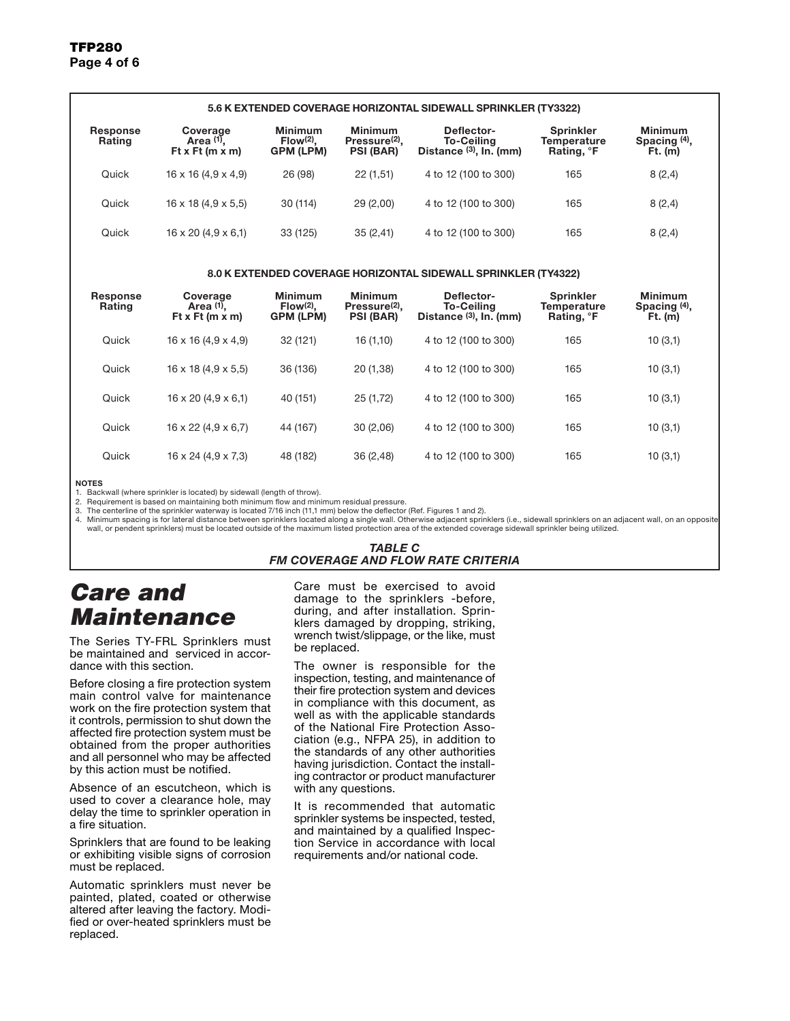| 5.6 K EXTENDED COVERAGE HORIZONTAL SIDEWALL SPRINKLER (TY3322) |                                                 |                                                   |                                                          |                                                              |                                                                  |                                             |  |  |
|----------------------------------------------------------------|-------------------------------------------------|---------------------------------------------------|----------------------------------------------------------|--------------------------------------------------------------|------------------------------------------------------------------|---------------------------------------------|--|--|
| <b>Response</b><br>Rating                                      | Coverage<br>Area (1).<br>Ft x Ft $(m \times m)$ | <b>Minimum</b><br>$Flow(2)$ .<br><b>GPM (LPM)</b> | Minimum<br>Pressure <sup>(2)</sup> .<br><b>PSI (BAR)</b> | Deflector-<br><b>To-Ceiling</b><br>Distance $(3)$ , In. (mm) | <b>Sprinkler</b><br><b>Temperature</b><br>Rating, <sup>o</sup> F | <b>Minimum</b><br>Spacing (4),<br>$Ft.$ (m) |  |  |
| Quick                                                          | $16 \times 16 (4.9 \times 4.9)$                 | 26 (98)                                           | 22(1,51)                                                 | 4 to 12 (100 to 300)                                         | 165                                                              | 8(2,4)                                      |  |  |
| Quick                                                          | $16 \times 18$ (4,9 $\times$ 5,5)               | 30 (114)                                          | 29(2,00)                                                 | 4 to 12 (100 to 300)                                         | 165                                                              | 8(2,4)                                      |  |  |
| Quick                                                          | $16 \times 20$ (4,9 $\times$ 6,1)               | 33 (125)                                          | 35(2,41)                                                 | 4 to 12 (100 to 300)                                         | 165                                                              | 8(2,4)                                      |  |  |
| 8.0 K EXTENDED COVERAGE HORIZONTAL SIDEWALL SPRINKLER (TY4322) |                                                 |                                                   |                                                          |                                                              |                                                                  |                                             |  |  |

| <b>Response</b><br>Rating | Coverage<br>Area $(1)$ .<br>Ft x Ft (m x m) | <b>Minimum</b><br>$Flow(2)$ .<br><b>GPM (LPM)</b> | <b>Minimum</b><br>Pressure <sup>(2)</sup> ,<br><b>PSI (BAR)</b> | Deflector-<br><b>To-Ceiling</b><br>Distance $(3)$ , In. (mm) | <b>Sprinkler</b><br><b>Temperature</b><br>Rating, <sup>o</sup> F | <b>Minimum</b><br>Spacing <sup>(4)</sup> ,<br>$Ft.$ (m) |
|---------------------------|---------------------------------------------|---------------------------------------------------|-----------------------------------------------------------------|--------------------------------------------------------------|------------------------------------------------------------------|---------------------------------------------------------|
| Quick                     | $16 \times 16$ (4,9 $\times$ 4,9)           | 32 (121)                                          | 16(1,10)                                                        | 4 to 12 (100 to 300)                                         | 165                                                              | 10(3,1)                                                 |
| Quick                     | $16 \times 18$ (4,9 $\times$ 5,5)           | 36 (136)                                          | 20(1,38)                                                        | 4 to 12 (100 to 300)                                         | 165                                                              | 10(3,1)                                                 |
| Quick                     | $16 \times 20$ (4,9 $\times$ 6,1)           | 40 (151)                                          | 25 (1,72)                                                       | 4 to 12 (100 to 300)                                         | 165                                                              | 10(3,1)                                                 |
| Quick                     | $16 \times 22$ (4,9 $\times$ 6,7)           | 44 (167)                                          | 30(2,06)                                                        | 4 to 12 (100 to 300)                                         | 165                                                              | 10(3,1)                                                 |
| Quick                     | $16 \times 24$ (4,9 $\times$ 7,3)           | 48 (182)                                          | 36(2,48)                                                        | 4 to 12 (100 to 300)                                         | 165                                                              | 10(3,1)                                                 |

#### NOTES

1. Backwall (where sprinkler is located) by sidewall (length of throw).

2. Requirement is based on maintaining both minimum flow and minimum residual pressure.

3. The centerline of the sprinkler waterway is located 7/16 inch (11,1 mm) below the deflector (Ref. Figures 1 and 2).

4. Minimum spacing is for lateral distance between sprinklers located along a single wall. Otherwise adjacent sprinklers (i.e., sidewall sprinklers on an adjacent wall, on an opposite wall, or pendent sprinklers) must be located outside of the maximum listed protection area of the extended coverage sidewall sprinkler being utilized.

#### *TABLE C FM COVERAGE AND FLOW RATE CRITERIA*

### *Care and Maintenance*

The Series TY-FRL Sprinklers must be maintained and serviced in accordance with this section.

Before closing a fire protection system main control valve for maintenance work on the fire protection system that it controls, permission to shut down the affected fire protection system must be obtained from the proper authorities and all personnel who may be affected by this action must be notified.

Absence of an escutcheon, which is used to cover a clearance hole, may delay the time to sprinkler operation in a fire situation.

Sprinklers that are found to be leaking or exhibiting visible signs of corrosion must be replaced.

Automatic sprinklers must never be painted, plated, coated or otherwise altered after leaving the factory. Modified or over-heated sprinklers must be replaced.

Care must be exercised to avoid damage to the sprinklers -before, during, and after installation. Sprinklers damaged by dropping, striking, wrench twist/slippage, or the like, must be replaced.

The owner is responsible for the inspection, testing, and maintenance of their fire protection system and devices in compliance with this document, as well as with the applicable standards of the National Fire Protection Association (e.g., NFPA 25), in addition to the standards of any other authorities having jurisdiction. Contact the installing contractor or product manufacturer with any questions.

It is recommended that automatic sprinkler systems be inspected, tested, and maintained by a qualified Inspection Service in accordance with local requirements and/or national code.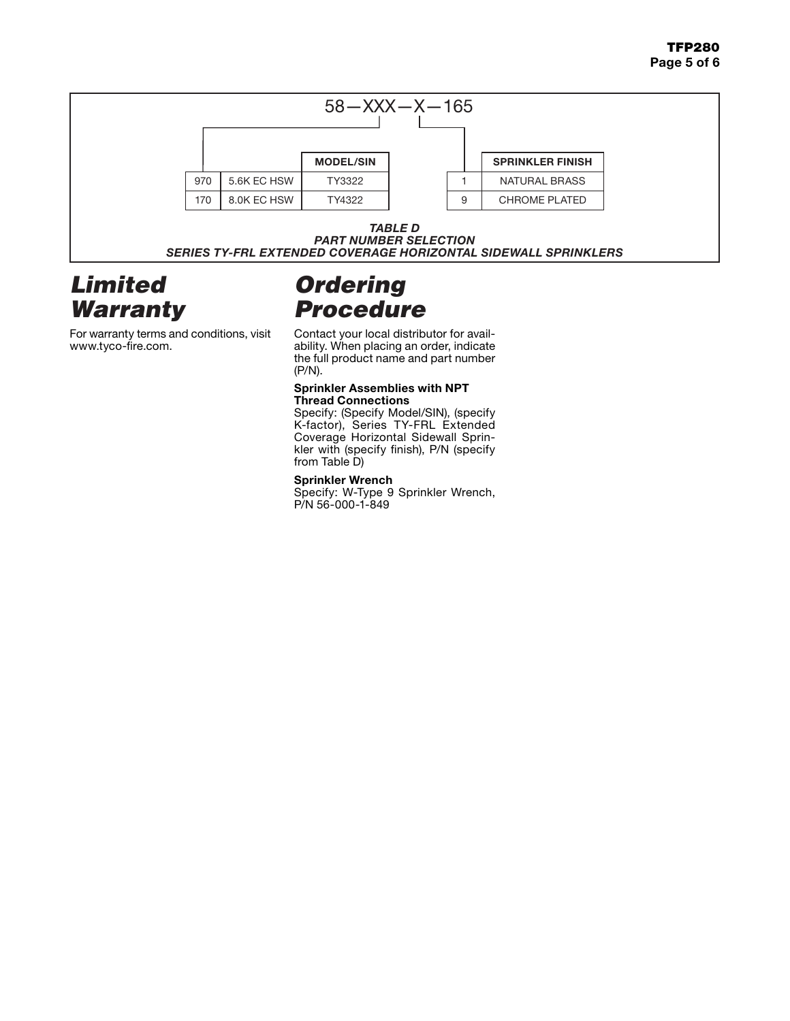

### *PART NUMBER SELECTION SERIES TY-FRL EXTENDED COVERAGE HORIZONTAL SIDEWALL SPRINKLERS*

### *Limited Warranty*

For warranty terms and conditions, visit www.tyco-fire.com.

# *Ordering Procedure*

Contact your local distributor for availability. When placing an order, indicate the full product name and part number (P/N).

#### **Sprinkler Assemblies with NPT Thread Connections**

Specify: (Specify Model/SIN), (specify K-factor), Series TY-FRL Extended Coverage Horizontal Sidewall Sprinkler with (specify finish), P/N (specify from Table D)

### **Sprinkler Wrench**

Specify: W-Type 9 Sprinkler Wrench, P/N 56-000-1-849